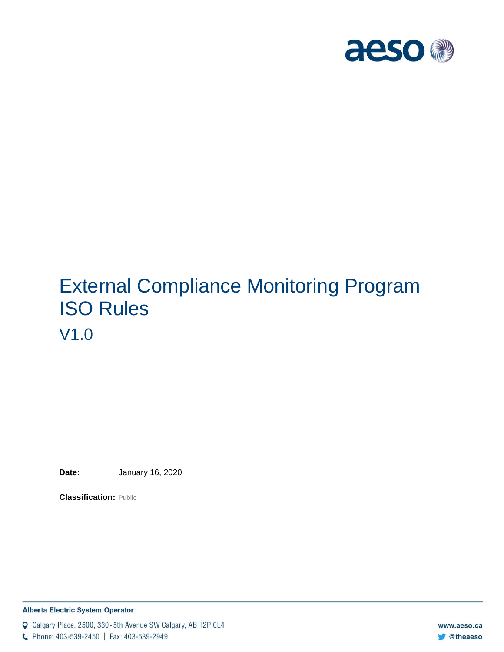

# External Compliance Monitoring Program ISO Rules V1.0

**Date:** January 16, 2020

**Classification:** Public

#### **Alberta Electric System Operator**

Q Calgary Place, 2500, 330-5th Avenue SW Calgary, AB T2P 0L4

C Phone: 403-539-2450 | Fax: 403-539-2949

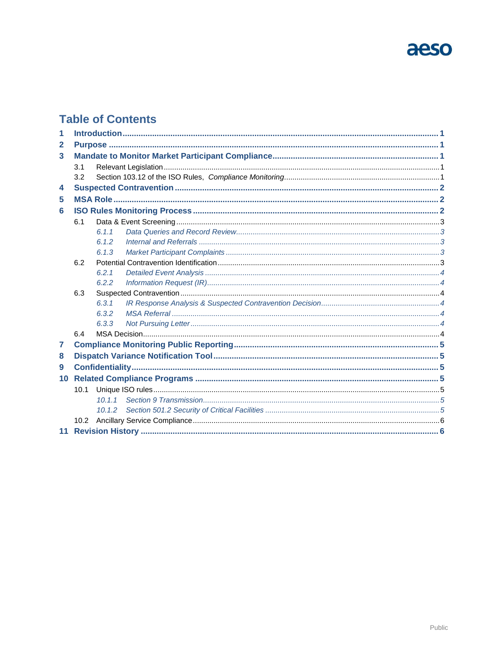# aeso

### **Table of Contents**

| 1            |      |        |  |  |  |  |
|--------------|------|--------|--|--|--|--|
| $\mathbf{2}$ |      |        |  |  |  |  |
| 3            |      |        |  |  |  |  |
|              | 3.1  |        |  |  |  |  |
|              | 3.2  |        |  |  |  |  |
| 4            |      |        |  |  |  |  |
| 5            |      |        |  |  |  |  |
| 6            |      |        |  |  |  |  |
|              | 6.1  |        |  |  |  |  |
|              |      | 6.1.1  |  |  |  |  |
|              |      | 6.1.2  |  |  |  |  |
|              |      | 6.1.3  |  |  |  |  |
|              | 6.2  |        |  |  |  |  |
|              |      | 6.2.1  |  |  |  |  |
|              |      | 6.2.2  |  |  |  |  |
|              | 6.3  |        |  |  |  |  |
|              |      | 6.3.1  |  |  |  |  |
|              |      | 6.3.2  |  |  |  |  |
|              |      | 6.3.3  |  |  |  |  |
|              | 6.4  |        |  |  |  |  |
| 7            |      |        |  |  |  |  |
| 8            |      |        |  |  |  |  |
| 9            |      |        |  |  |  |  |
| 10           |      |        |  |  |  |  |
|              | 10.1 |        |  |  |  |  |
|              |      |        |  |  |  |  |
|              |      | 10.1.2 |  |  |  |  |
|              |      |        |  |  |  |  |
|              |      |        |  |  |  |  |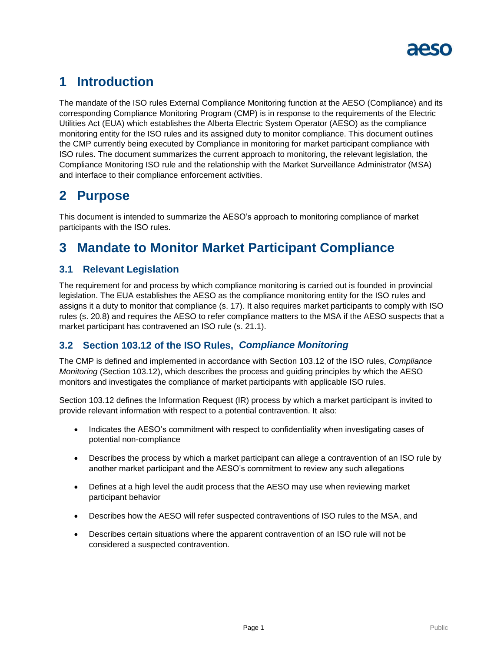

# <span id="page-2-0"></span>**1 Introduction**

The mandate of the ISO rules External Compliance Monitoring function at the AESO (Compliance) and its corresponding Compliance Monitoring Program (CMP) is in response to the requirements of the Electric Utilities Act (EUA) which establishes the Alberta Electric System Operator (AESO) as the compliance monitoring entity for the ISO rules and its assigned duty to monitor compliance. This document outlines the CMP currently being executed by Compliance in monitoring for market participant compliance with ISO rules. The document summarizes the current approach to monitoring, the relevant legislation, the Compliance Monitoring ISO rule and the relationship with the Market Surveillance Administrator (MSA) and interface to their compliance enforcement activities.

### <span id="page-2-1"></span>**2 Purpose**

This document is intended to summarize the AESO's approach to monitoring compliance of market participants with the ISO rules.

# <span id="page-2-2"></span>**3 Mandate to Monitor Market Participant Compliance**

### <span id="page-2-3"></span>**3.1 Relevant Legislation**

The requirement for and process by which compliance monitoring is carried out is founded in provincial legislation. The EUA establishes the AESO as the compliance monitoring entity for the ISO rules and assigns it a duty to monitor that compliance (s. 17). It also requires market participants to comply with ISO rules (s. 20.8) and requires the AESO to refer compliance matters to the MSA if the AESO suspects that a market participant has contravened an ISO rule (s. 21.1).

### <span id="page-2-4"></span>**3.2 Section 103.12 of the ISO Rules,** *Compliance Monitoring*

The CMP is defined and implemented in accordance with Section 103.12 of the ISO rules, *Compliance Monitoring* (Section 103.12), which describes the process and guiding principles by which the AESO monitors and investigates the compliance of market participants with applicable ISO rules.

Section 103.12 defines the Information Request (IR) process by which a market participant is invited to provide relevant information with respect to a potential contravention. It also:

- Indicates the AESO's commitment with respect to confidentiality when investigating cases of potential non-compliance
- Describes the process by which a market participant can allege a contravention of an ISO rule by another market participant and the AESO's commitment to review any such allegations
- Defines at a high level the audit process that the AESO may use when reviewing market participant behavior
- Describes how the AESO will refer suspected contraventions of ISO rules to the MSA, and
- Describes certain situations where the apparent contravention of an ISO rule will not be considered a suspected contravention.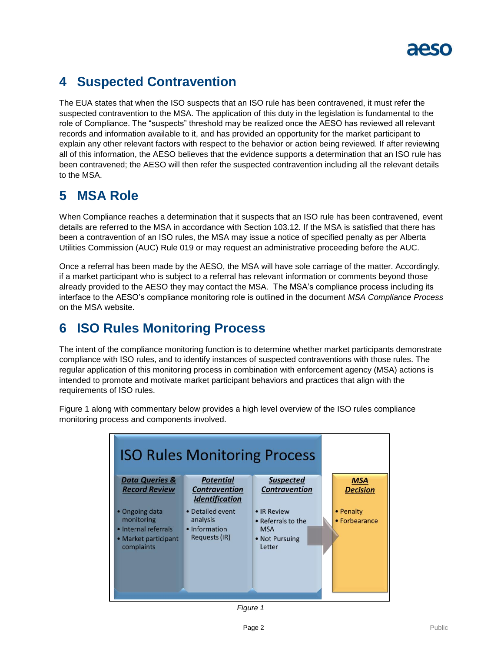

# <span id="page-3-0"></span>**4 Suspected Contravention**

The EUA states that when the ISO suspects that an ISO rule has been contravened, it must refer the suspected contravention to the MSA. The application of this duty in the legislation is fundamental to the role of Compliance. The "suspects" threshold may be realized once the AESO has reviewed all relevant records and information available to it, and has provided an opportunity for the market participant to explain any other relevant factors with respect to the behavior or action being reviewed. If after reviewing all of this information, the AESO believes that the evidence supports a determination that an ISO rule has been contravened; the AESO will then refer the suspected contravention including all the relevant details to the MSA.

### <span id="page-3-1"></span>**5 MSA Role**

When Compliance reaches a determination that it suspects that an ISO rule has been contravened, event details are referred to the MSA in accordance with Section 103.12. If the MSA is satisfied that there has been a contravention of an ISO rules, the MSA may issue a notice of specified penalty as per Alberta Utilities Commission (AUC) Rule 019 or may request an administrative proceeding before the AUC.

Once a referral has been made by the AESO, the MSA will have sole carriage of the matter. Accordingly, if a market participant who is subject to a referral has relevant information or comments beyond those already provided to the AESO they may contact the MSA. The MSA's compliance process including its interface to the AESO's compliance monitoring role is outlined in the document *MSA Compliance Process* on the MSA website.

## <span id="page-3-2"></span>**6 ISO Rules Monitoring Process**

The intent of the compliance monitoring function is to determine whether market participants demonstrate compliance with ISO rules, and to identify instances of suspected contraventions with those rules. The regular application of this monitoring process in combination with enforcement agency (MSA) actions is intended to promote and motivate market participant behaviors and practices that align with the requirements of ISO rules.



Figure 1 along with commentary below provides a high level overview of the ISO rules compliance monitoring process and components involved.

*Figure 1*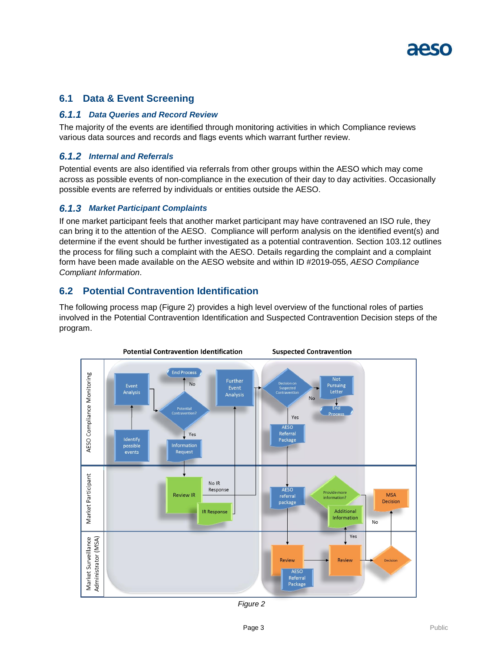### <span id="page-4-0"></span>**6.1 Data & Event Screening**

#### <span id="page-4-1"></span>*6.1.1 Data Queries and Record Review*

The majority of the events are identified through monitoring activities in which Compliance reviews various data sources and records and flags events which warrant further review.

#### <span id="page-4-2"></span>*6.1.2 Internal and Referrals*

Potential events are also identified via referrals from other groups within the AESO which may come across as possible events of non-compliance in the execution of their day to day activities. Occasionally possible events are referred by individuals or entities outside the AESO.

#### <span id="page-4-3"></span>*6.1.3 Market Participant Complaints*

If one market participant feels that another market participant may have contravened an ISO rule, they can bring it to the attention of the AESO. Compliance will perform analysis on the identified event(s) and determine if the event should be further investigated as a potential contravention. Section 103.12 outlines the process for filing such a complaint with the AESO. Details regarding the complaint and a complaint form have been made available on the AESO website and within ID #2019-055, *AESO Compliance Compliant Information*.

### <span id="page-4-4"></span>**6.2 Potential Contravention Identification**

The following process map (Figure 2) provides a high level overview of the functional roles of parties involved in the Potential Contravention Identification and Suspected Contravention Decision steps of the program.



*Figure 2*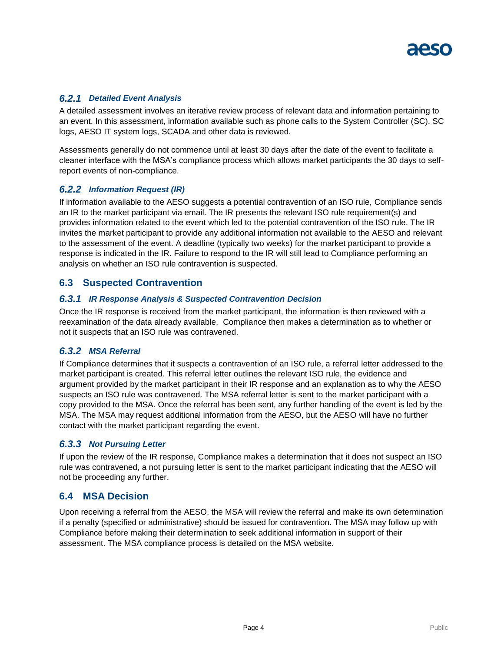#### <span id="page-5-0"></span>*6.2.1 Detailed Event Analysis*

A detailed assessment involves an iterative review process of relevant data and information pertaining to an event. In this assessment, information available such as phone calls to the System Controller (SC), SC logs, AESO IT system logs, SCADA and other data is reviewed.

Assessments generally do not commence until at least 30 days after the date of the event to facilitate a cleaner interface with the MSA's compliance process which allows market participants the 30 days to selfreport events of non-compliance.

#### <span id="page-5-1"></span>*6.2.2 Information Request (IR)*

If information available to the AESO suggests a potential contravention of an ISO rule, Compliance sends an IR to the market participant via email. The IR presents the relevant ISO rule requirement(s) and provides information related to the event which led to the potential contravention of the ISO rule. The IR invites the market participant to provide any additional information not available to the AESO and relevant to the assessment of the event. A deadline (typically two weeks) for the market participant to provide a response is indicated in the IR. Failure to respond to the IR will still lead to Compliance performing an analysis on whether an ISO rule contravention is suspected.

### <span id="page-5-2"></span>**6.3 Suspected Contravention**

#### <span id="page-5-3"></span>*6.3.1 IR Response Analysis & Suspected Contravention Decision*

Once the IR response is received from the market participant, the information is then reviewed with a reexamination of the data already available. Compliance then makes a determination as to whether or not it suspects that an ISO rule was contravened.

#### <span id="page-5-4"></span>*6.3.2 MSA Referral*

If Compliance determines that it suspects a contravention of an ISO rule, a referral letter addressed to the market participant is created. This referral letter outlines the relevant ISO rule, the evidence and argument provided by the market participant in their IR response and an explanation as to why the AESO suspects an ISO rule was contravened. The MSA referral letter is sent to the market participant with a copy provided to the MSA. Once the referral has been sent, any further handling of the event is led by the MSA. The MSA may request additional information from the AESO, but the AESO will have no further contact with the market participant regarding the event.

#### <span id="page-5-5"></span>*6.3.3 Not Pursuing Letter*

If upon the review of the IR response, Compliance makes a determination that it does not suspect an ISO rule was contravened, a not pursuing letter is sent to the market participant indicating that the AESO will not be proceeding any further.

#### <span id="page-5-6"></span>**6.4 MSA Decision**

Upon receiving a referral from the AESO, the MSA will review the referral and make its own determination if a penalty (specified or administrative) should be issued for contravention. The MSA may follow up with Compliance before making their determination to seek additional information in support of their assessment. The MSA compliance process is detailed on the MSA website.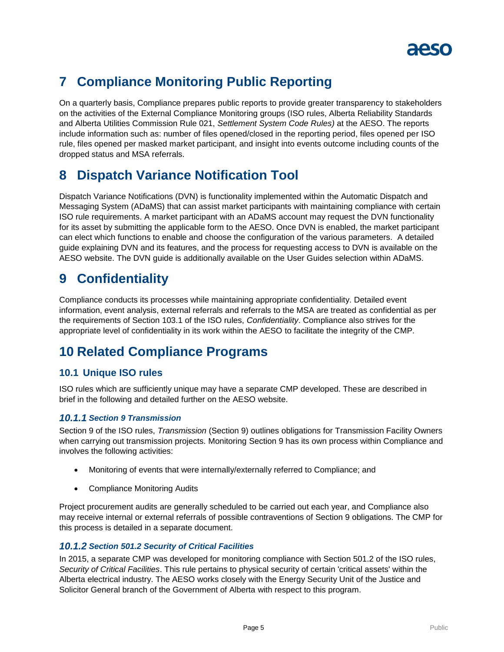

# <span id="page-6-0"></span>**7 Compliance Monitoring Public Reporting**

On a quarterly basis, Compliance prepares public reports to provide greater transparency to stakeholders on the activities of the External Compliance Monitoring groups (ISO rules, Alberta Reliability Standards and Alberta Utilities Commission Rule 021, *Settlement System Code Rules)* at the AESO. The reports include information such as: number of files opened/closed in the reporting period, files opened per ISO rule, files opened per masked market participant, and insight into events outcome including counts of the dropped status and MSA referrals.

## <span id="page-6-1"></span>**8 Dispatch Variance Notification Tool**

Dispatch Variance Notifications (DVN) is functionality implemented within the Automatic Dispatch and Messaging System (ADaMS) that can assist market participants with maintaining compliance with certain ISO rule requirements. A market participant with an ADaMS account may request the DVN functionality for its asset by submitting the applicable form to the AESO. Once DVN is enabled, the market participant can elect which functions to enable and choose the configuration of the various parameters. A detailed guide explaining DVN and its features, and the process for requesting access to DVN is available on the AESO website. The DVN guide is additionally available on the User Guides selection within ADaMS.

### <span id="page-6-2"></span>**9 Confidentiality**

Compliance conducts its processes while maintaining appropriate confidentiality. Detailed event information, event analysis, external referrals and referrals to the MSA are treated as confidential as per the requirements of Section 103.1 of the ISO rules, *Confidentiality*. Compliance also strives for the appropriate level of confidentiality in its work within the AESO to facilitate the integrity of the CMP.

# <span id="page-6-3"></span>**10 Related Compliance Programs**

### <span id="page-6-4"></span>**10.1 Unique ISO rules**

ISO rules which are sufficiently unique may have a separate CMP developed. These are described in brief in the following and detailed further on the AESO website.

#### <span id="page-6-5"></span>*10.1.1 Section 9 Transmission*

Section 9 of the ISO rules, *Transmission* (Section 9) outlines obligations for Transmission Facility Owners when carrying out transmission projects. Monitoring Section 9 has its own process within Compliance and involves the following activities:

- Monitoring of events that were internally/externally referred to Compliance; and
- Compliance Monitoring Audits

Project procurement audits are generally scheduled to be carried out each year, and Compliance also may receive internal or external referrals of possible contraventions of Section 9 obligations. The CMP for this process is detailed in a separate document.

#### <span id="page-6-6"></span>*10.1.2 Section 501.2 Security of Critical Facilities*

In 2015, a separate CMP was developed for monitoring compliance with Section 501.2 of the ISO rules, *Security of Critical Facilities*. This rule pertains to physical security of certain 'critical assets' within the Alberta electrical industry. The AESO works closely with the Energy Security Unit of the Justice and Solicitor General branch of the Government of Alberta with respect to this program.